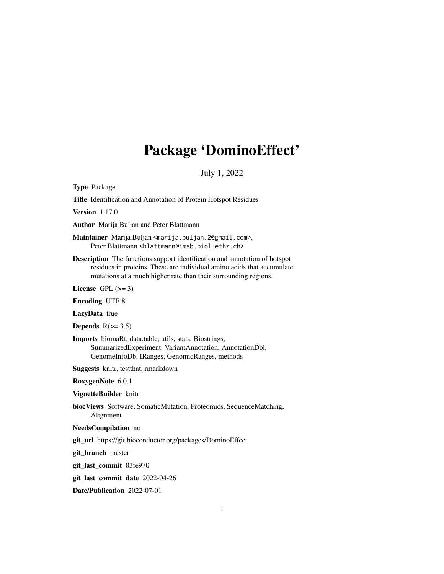# Package 'DominoEffect'

# July 1, 2022

Type Package

Title Identification and Annotation of Protein Hotspot Residues

Version 1.17.0

Author Marija Buljan and Peter Blattmann

Maintainer Marija Buljan <marija.buljan.2@gmail.com>, Peter Blattmann <blattmann@imsb.biol.ethz.ch>

Description The functions support identification and annotation of hotspot residues in proteins. These are individual amino acids that accumulate mutations at a much higher rate than their surrounding regions.

License GPL  $(>= 3)$ 

Encoding UTF-8

LazyData true

Depends  $R(>= 3.5)$ 

Imports biomaRt, data.table, utils, stats, Biostrings, SummarizedExperiment, VariantAnnotation, AnnotationDbi, GenomeInfoDb, IRanges, GenomicRanges, methods

Suggests knitr, testthat, rmarkdown

RoxygenNote 6.0.1

VignetteBuilder knitr

biocViews Software, SomaticMutation, Proteomics, SequenceMatching, Alignment

NeedsCompilation no

git\_url https://git.bioconductor.org/packages/DominoEffect

git\_branch master

git\_last\_commit 03fe970

git\_last\_commit\_date 2022-04-26

Date/Publication 2022-07-01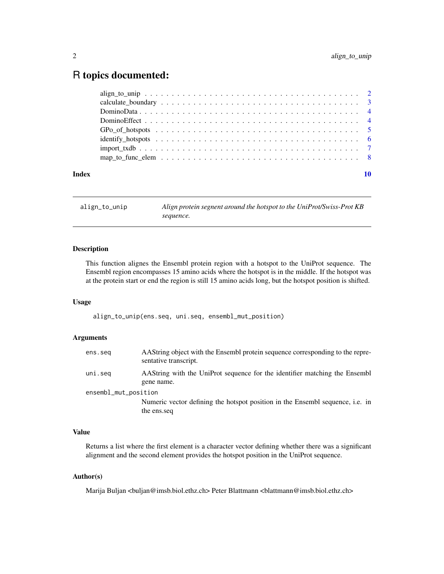# <span id="page-1-0"></span>R topics documented:

| Index |                                                                                                                    | 10 |
|-------|--------------------------------------------------------------------------------------------------------------------|----|
|       | map_to_func_elem $\dots \dots \dots \dots \dots \dots \dots \dots \dots \dots \dots \dots \dots \dots \dots \dots$ |    |
|       |                                                                                                                    |    |
|       |                                                                                                                    |    |
|       |                                                                                                                    |    |
|       |                                                                                                                    |    |
|       |                                                                                                                    |    |
|       |                                                                                                                    |    |
|       |                                                                                                                    |    |

align\_to\_unip *Align protein segnent around the hotspot to the UniProt/Swiss-Prot KB sequence.*

# Description

This function alignes the Ensembl protein region with a hotspot to the UniProt sequence. The Ensembl region encompasses 15 amino acids where the hotspot is in the middle. If the hotspot was at the protein start or end the region is still 15 amino acids long, but the hotspot position is shifted.

### Usage

align\_to\_unip(ens.seq, uni.seq, ensembl\_mut\_position)

### Arguments

| ens.seg              | AAString object with the Ensembl protein sequence corresponding to the repre-<br>sentative transcript. |
|----------------------|--------------------------------------------------------------------------------------------------------|
| uni.seg              | AAString with the UniProt sequence for the identifier matching the Ensembl<br>gene name.               |
| ensembl_mut_position |                                                                                                        |
|                      | Numeric vector defining the hotspot position in the Ensembl sequence, i.e. in<br>the ens.seq           |

# Value

Returns a list where the first element is a character vector defining whether there was a significant alignment and the second element provides the hotspot position in the UniProt sequence.

# Author(s)

Marija Buljan <br/> <br/> dimsb.biol.ethz.ch> Peter Blattmann <br/> <br/>dimann@imsb.biol.ethz.ch>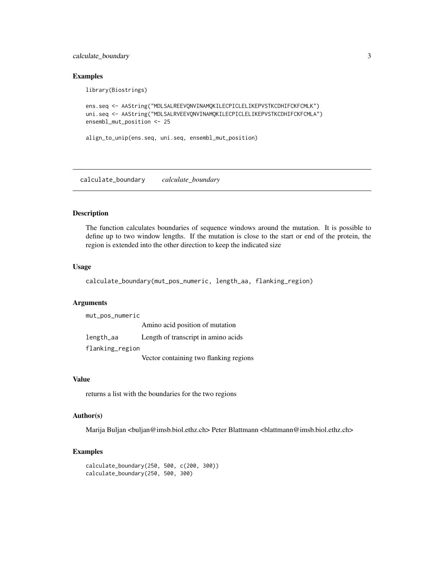# <span id="page-2-0"></span>calculate\_boundary 3

library(Biostrings)

### Examples

```
ens.seq <- AAString("MDLSALREEVQNVINAMQKILECPICLELIKEPVSTKCDHIFCKFCMLK")
uni.seq <- AAString("MDLSALRVEEVQNVINAMQKILECPICLELIKEPVSTKCDHIFCKFCMLA")
ensembl_mut_position <- 25
```

```
align_to_unip(ens.seq, uni.seq, ensembl_mut_position)
```
calculate\_boundary *calculate\_boundary*

#### Description

The function calculates boundaries of sequence windows around the mutation. It is possible to define up to two window lengths. If the mutation is close to the start or end of the protein, the region is extended into the other direction to keep the indicated size

# Usage

calculate\_boundary(mut\_pos\_numeric, length\_aa, flanking\_region)

# Arguments

| mut_pos_numeric |                                        |
|-----------------|----------------------------------------|
|                 | Amino acid position of mutation        |
| length_aa       | Length of transcript in amino acids    |
| flanking_region |                                        |
|                 | Vector containing two flanking regions |

# Value

returns a list with the boundaries for the two regions

# Author(s)

Marija Buljan <br/> <br/> dimsb.biol.ethz.ch> Peter Blattmann <br/> <br/>dimann@imsb.biol.ethz.ch>

#### Examples

```
calculate_boundary(250, 500, c(200, 300))
calculate_boundary(250, 500, 300)
```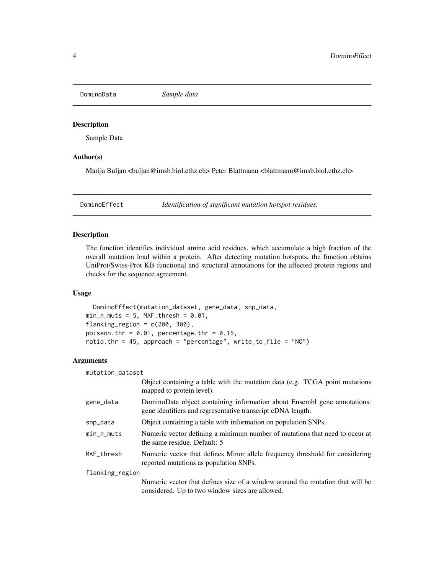<span id="page-3-0"></span>DominoData *Sample data*

# Description

Sample Data

### Author(s)

Marija Buljan <br/>buljan@imsb.biol.ethz.ch> Peter Blattmann <br/>blattmann@imsb.biol.ethz.ch>

DominoEffect *Identification of significant mutation hotspot residues.*

# Description

The function identifies individual amino acid residues, which accumulate a high fraction of the overall mutation load within a protein. After detecting mutation hotspots, the function obtains UniProt/Swiss-Prot KB functional and structural annotations for the affected protein regions and checks for the sequence agreement.

#### Usage

DominoEffect(mutation\_dataset, gene\_data, snp\_data,  $min_n_muts = 5$ , MAF\_thresh = 0.01, flanking\_region =  $c(200, 300)$ , poisson.thr =  $0.01$ , percentage.thr =  $0.15$ , ratio.thr = 45, approach = "percentage",  $write_to_file = "NO")$ 

# Arguments

| mutation_dataset |                                                                                                                                         |
|------------------|-----------------------------------------------------------------------------------------------------------------------------------------|
|                  | Object containing a table with the mutation data (e.g. TCGA point mutations<br>mapped to protein level).                                |
| gene_data        | DominoData object containing information about Ensembl gene annotations:<br>gene identifiers and regresentative transcript cDNA length. |
| snp_data         | Object containing a table with information on population SNPs.                                                                          |
| $min_n$ -muts    | Numeric vector defining a minimum number of mutations that need to occur at<br>the same residue. Default: 5                             |
| MAF_thresh       | Numeric vector that defines Minor allele frequency threshold for considering<br>reported mutations as population SNPs.                  |
| flanking_region  |                                                                                                                                         |
|                  | Numeric vector that defines size of a window around the mutation that will be<br>considered. Up to two window sizes are allowed.        |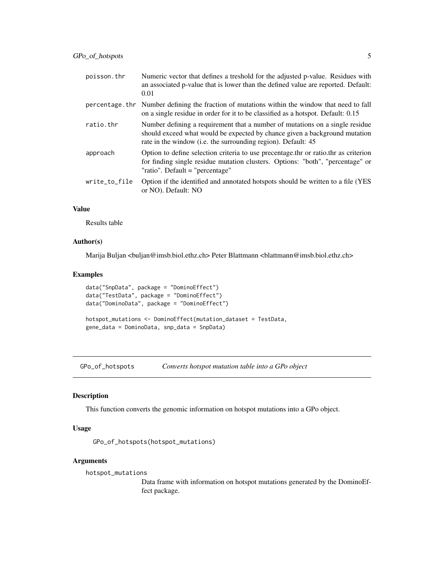<span id="page-4-0"></span>

| poisson.thr   | Numeric vector that defines a treshold for the adjusted p-value. Residues with<br>an associated p-value that is lower than the defined value are reported. Default:<br>0.01                                                 |
|---------------|-----------------------------------------------------------------------------------------------------------------------------------------------------------------------------------------------------------------------------|
|               | percentage. thr Number defining the fraction of mutations within the window that need to fall<br>on a single residue in order for it to be classified as a hotspot. Default: 0.15                                           |
| ratio.thr     | Number defining a requirement that a number of mutations on a single residue<br>should exceed what would be expected by chance given a background mutation<br>rate in the window (i.e. the surrounding region). Default: 45 |
| approach      | Option to define selection criteria to use precentage thr or ratio thr as criterion<br>for finding single residue mutation clusters. Options: "both", "percentage" or<br>"ratio". Default = "percentage"                    |
| write_to_file | Option if the identified and annotated hotspots should be written to a file (YES<br>or NO). Default: NO                                                                                                                     |

# Value

Results table

# Author(s)

Marija Buljan <br/> <br/> dimsb.biol.ethz.ch> Peter Blattmann <br/> <br/>dimann@imsb.biol.ethz.ch>

# Examples

```
data("SnpData", package = "DominoEffect")
data("TestData", package = "DominoEffect")
data("DominoData", package = "DominoEffect")
hotspot_mutations <- DominoEffect(mutation_dataset = TestData,
gene_data = DominoData, snp_data = SnpData)
```
GPo\_of\_hotspots *Converts hotspot mutation table into a GPo object*

# Description

This function converts the genomic information on hotspot mutations into a GPo object.

### Usage

```
GPo_of_hotspots(hotspot_mutations)
```
#### Arguments

hotspot\_mutations

Data frame with information on hotspot mutations generated by the DominoEffect package.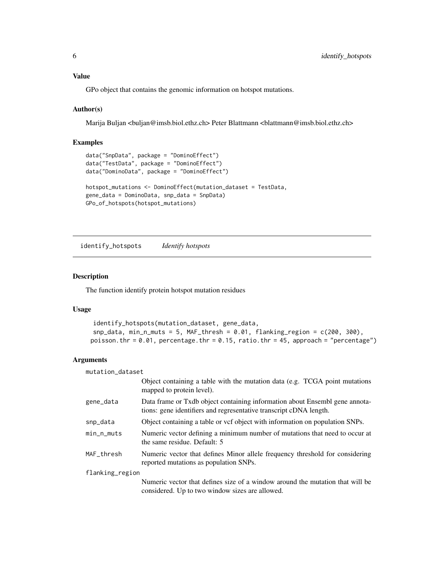# <span id="page-5-0"></span>Value

GPo object that contains the genomic information on hotspot mutations.

#### Author(s)

Marija Buljan <br/> <br/>  $\Diamond$ imsb.biol.ethz.ch> Peter Blattmann <br/> <br/> <br/>dattmann@imsb.biol.ethz.ch>

#### Examples

```
data("SnpData", package = "DominoEffect")
data("TestData", package = "DominoEffect")
data("DominoData", package = "DominoEffect")
hotspot_mutations <- DominoEffect(mutation_dataset = TestData,
gene_data = DominoData, snp_data = SnpData)
GPo_of_hotspots(hotspot_mutations)
```
identify\_hotspots *Identify hotspots*

### Description

The function identify protein hotspot mutation residues

#### Usage

```
identify_hotspots(mutation_dataset, gene_data,
snp\_data, min_n_muts = 5, MAF_thresh = 0.01, flanking_region = c(200, 300),
poisson.thr = 0.01, percentage.thr = 0.15, ratio.thr = 45, approach = "percentage")
```
# Arguments

| mutation_dataset |                                                                                                                                                   |
|------------------|---------------------------------------------------------------------------------------------------------------------------------------------------|
|                  | Object containing a table with the mutation data (e.g. TCGA point mutations<br>mapped to protein level).                                          |
| gene_data        | Data frame or Txdb object containing information about Ensembl gene annota-<br>tions: gene identifiers and regresentative transcript cDNA length. |
| snp_data         | Object containing a table or vcf object with information on population SNPs.                                                                      |
| min_n_muts       | Numeric vector defining a minimum number of mutations that need to occur at<br>the same residue. Default: 5                                       |
| MAF_thresh       | Numeric vector that defines Minor allele frequency threshold for considering<br>reported mutations as population SNPs.                            |
| flanking_region  |                                                                                                                                                   |
|                  | Numeric vector that defines size of a window around the mutation that will be<br>considered. Up to two window sizes are allowed.                  |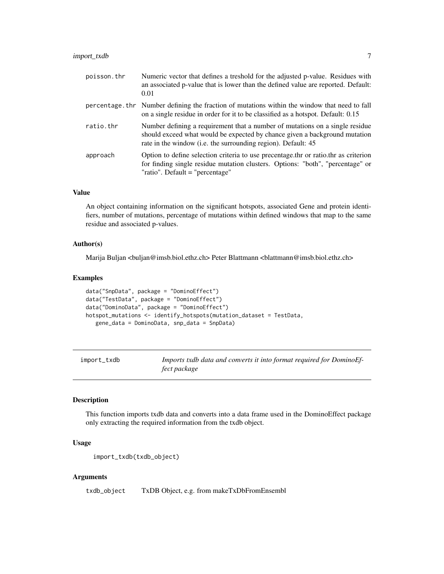# <span id="page-6-0"></span>import\_txdb 7

| poisson.thr | Numeric vector that defines a treshold for the adjusted p-value. Residues with<br>an associated p-value that is lower than the defined value are reported. Default:<br>0.01                                                 |
|-------------|-----------------------------------------------------------------------------------------------------------------------------------------------------------------------------------------------------------------------------|
|             | percentage. thr Number defining the fraction of mutations within the window that need to fall<br>on a single residue in order for it to be classified as a hotspot. Default: 0.15                                           |
| ratio.thr   | Number defining a requirement that a number of mutations on a single residue<br>should exceed what would be expected by chance given a background mutation<br>rate in the window (i.e. the surrounding region). Default: 45 |
| approach    | Option to define selection criteria to use precentage thr or ratio thr as criterion<br>for finding single residue mutation clusters. Options: "both", "percentage" or<br>"ratio". Default = "percentage"                    |

#### Value

An object containing information on the significant hotspots, associated Gene and protein identifiers, number of mutations, percentage of mutations within defined windows that map to the same residue and associated p-values.

#### Author(s)

Marija Buljan <br/>  $\leq$  huljan@imsb.biol.ethz.ch> Peter Blattmann <br/>  $\leq$  hattmann@imsb.biol.ethz.ch>

#### Examples

```
data("SnpData", package = "DominoEffect")
data("TestData", package = "DominoEffect")
data("DominoData", package = "DominoEffect")
hotspot_mutations <- identify_hotspots(mutation_dataset = TestData,
   gene_data = DominoData, snp_data = SnpData)
```
import\_txdb *Imports txdb data and converts it into format required for DominoEffect package*

### Description

This function imports txdb data and converts into a data frame used in the DominoEffect package only extracting the required information from the txdb object.

# Usage

```
import_txdb(txdb_object)
```
#### Arguments

txdb\_object TxDB Object, e.g. from makeTxDbFromEnsembl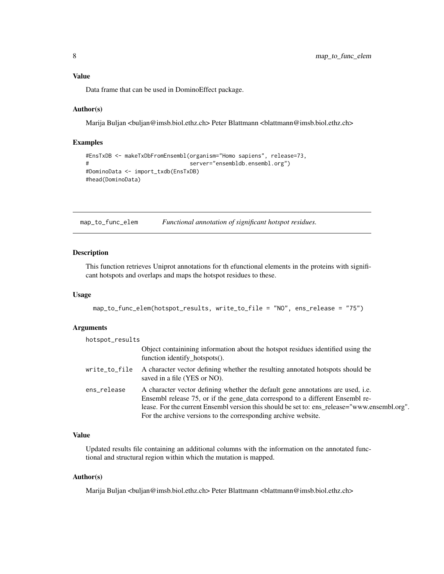# <span id="page-7-0"></span>Value

Data frame that can be used in DominoEffect package.

#### Author(s)

Marija Buljan <buljan@imsb.biol.ethz.ch> Peter Blattmann <blattmann@imsb.biol.ethz.ch>

#### Examples

```
#EnsTxDB <- makeTxDbFromEnsembl(organism="Homo sapiens", release=73,
# server="ensembldb.ensembl.org")
#DominoData <- import_txdb(EnsTxDB)
#head(DominoData)
```
map\_to\_func\_elem *Functional annotation of significant hotspot residues.*

# Description

This function retrieves Uniprot annotations for th efunctional elements in the proteins with significant hotspots and overlaps and maps the hotspot residues to these.

# Usage

map\_to\_func\_elem(hotspot\_results, write\_to\_file = "NO", ens\_release = "75")

# Arguments

| hotspot_results |                                                                                                                                                                                                                                                                                                                                    |
|-----------------|------------------------------------------------------------------------------------------------------------------------------------------------------------------------------------------------------------------------------------------------------------------------------------------------------------------------------------|
|                 | Object containining information about the hotspot residues identified using the<br>function identify_hotspots().                                                                                                                                                                                                                   |
| write_to_file   | A character vector defining whether the resulting annotated hotspots should be<br>saved in a file (YES or NO).                                                                                                                                                                                                                     |
| ens_release     | A character vector defining whether the default gene annotations are used, i.e.<br>Ensembl release 75, or if the gene_data correspond to a different Ensembl re-<br>lease. For the current Ensembl version this should be set to: ens release="www.ensembl.org".<br>For the archive versions to the corresponding archive website. |

# Value

Updated results file containing an additional columns with the information on the annotated functional and structural region within which the mutation is mapped.

#### Author(s)

Marija Buljan <br/> <br/> dimsb.biol.ethz.ch> Peter Blattmann <br/> <br/>dimann@imsb.biol.ethz.ch>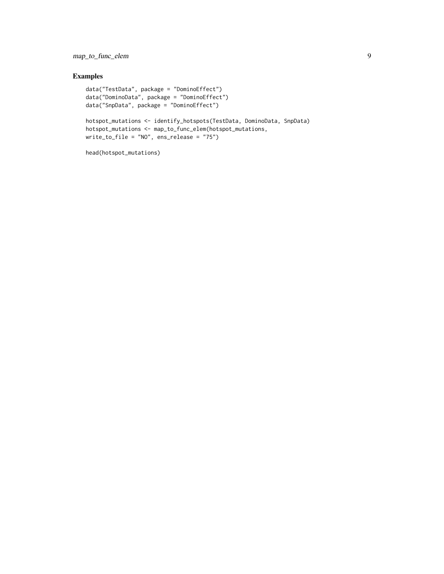# map\_to\_func\_elem 9

# Examples

```
data("TestData", package = "DominoEffect")
data("DominoData", package = "DominoEffect")
data("SnpData", package = "DominoEffect")
hotspot_mutations <- identify_hotspots(TestData, DominoData, SnpData)
hotspot_mutations <- map_to_func_elem(hotspot_mutations,
write_to_file = "NO", ens_release = "75")
```

```
head(hotspot_mutations)
```